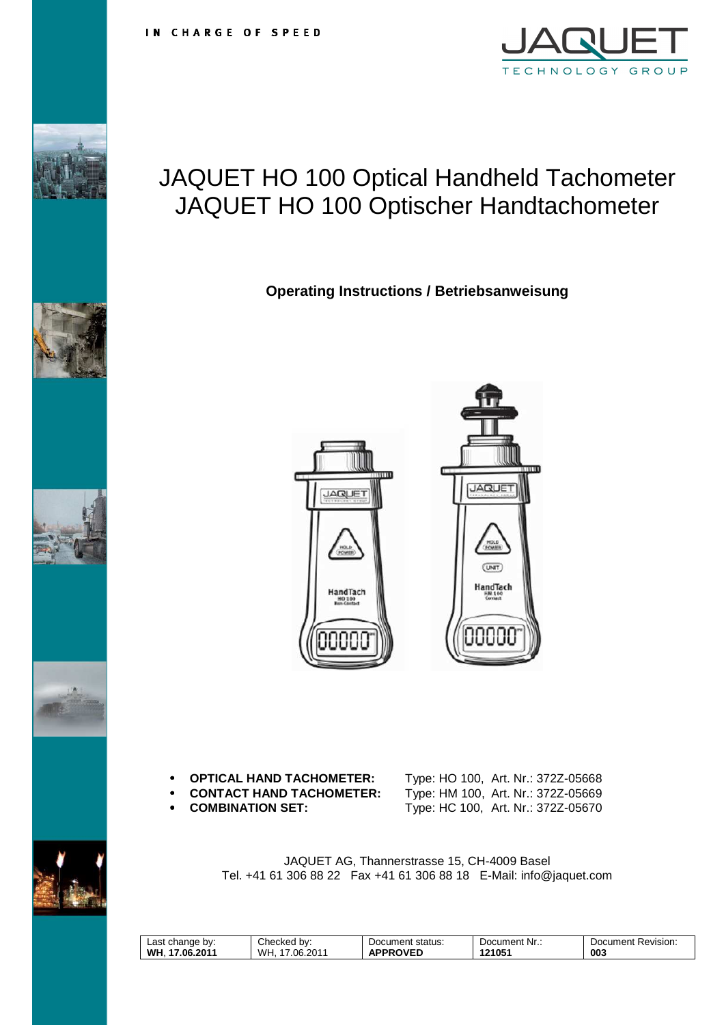

# JAQUET HO 100 Optical Handheld Tachometer JAQUET HO 100 Optischer Handtachometer

**Operating Instructions / Betriebsanweisung** 



#### • **OPTICAL HAND TACHOMETER:** Type: HO 100, Art. Nr.: 372Z-05668

- 
- 

• **CONTACT HAND TACHOMETER:** Type: HM 100, Art. Nr.: 372Z-05669 • **COMBINATION SET:** Type: HC 100, Art. Nr.: 372Z-05670

JAQUET AG, Thannerstrasse 15, CH-4009 Basel Tel. +41 61 306 88 22 Fax +41 61 306 88 18 E-Mail: info@jaquet.com

| ∟ast<br>bv:<br>change<br>- | Checked<br>bv:      | status:<br>Document         | Nr<br>Document | -<br>Revision.<br>Document |
|----------------------------|---------------------|-----------------------------|----------------|----------------------------|
| WH.<br>.2011<br>በፍ<br>.    | WH.<br>2011<br>06.2 | <b>OVED</b><br>^.<br>ᄄ<br>u | 21051          | 003                        |







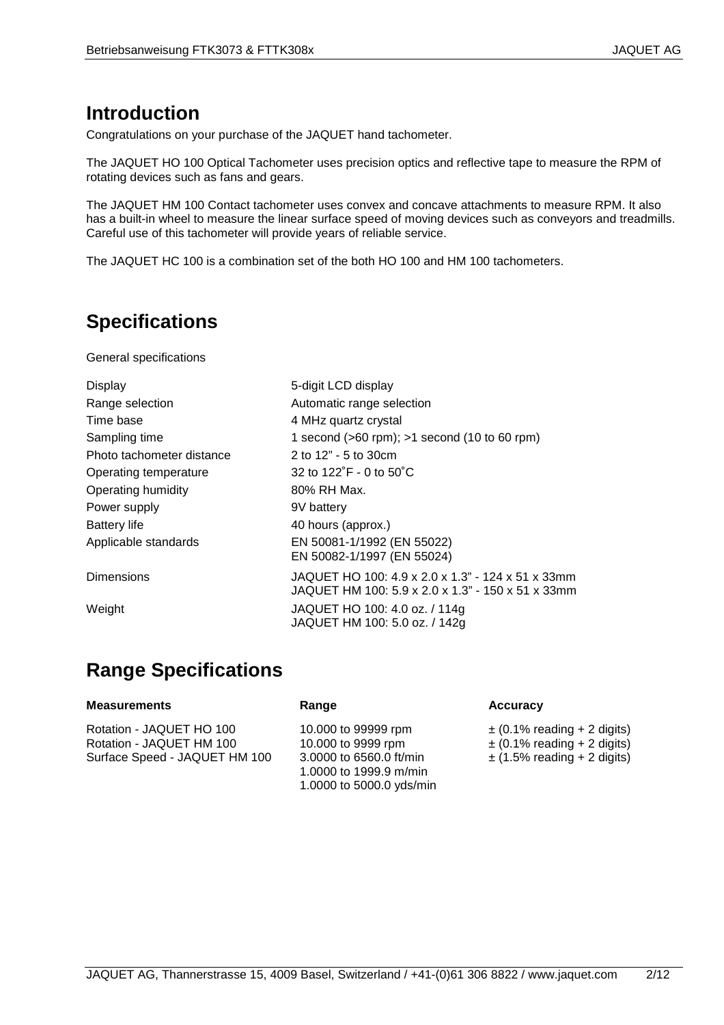### **Introduction**

Congratulations on your purchase of the JAQUET hand tachometer.

The JAQUET HO 100 Optical Tachometer uses precision optics and reflective tape to measure the RPM of rotating devices such as fans and gears.

The JAQUET HM 100 Contact tachometer uses convex and concave attachments to measure RPM. It also has a built-in wheel to measure the linear surface speed of moving devices such as conveyors and treadmills. Careful use of this tachometer will provide years of reliable service.

The JAQUET HC 100 is a combination set of the both HO 100 and HM 100 tachometers.

## **Specifications**

General specifications

| <b>Display</b>            | 5-digit LCD display                                                                                    |
|---------------------------|--------------------------------------------------------------------------------------------------------|
| Range selection           | Automatic range selection                                                                              |
| Time base                 | 4 MHz quartz crystal                                                                                   |
| Sampling time             | 1 second $(>60$ rpm); $>1$ second $(10 \text{ to } 60 \text{ rpm})$                                    |
| Photo tachometer distance | 2 to 12" - 5 to 30cm                                                                                   |
| Operating temperature     | 32 to $122^\circ$ F - 0 to $50^\circ$ C                                                                |
| Operating humidity        | 80% RH Max.                                                                                            |
| Power supply              | 9V battery                                                                                             |
| <b>Battery life</b>       | 40 hours (approx.)                                                                                     |
| Applicable standards      | EN 50081-1/1992 (EN 55022)<br>EN 50082-1/1997 (EN 55024)                                               |
| <b>Dimensions</b>         | JAQUET HO 100: 4.9 x 2.0 x 1.3" - 124 x 51 x 33mm<br>JAQUET HM 100: 5.9 x 2.0 x 1.3" - 150 x 51 x 33mm |
| Weight                    | JAQUET HO 100: 4.0 oz. / 114g<br>JAQUET HM 100: 5.0 oz. / 142g                                         |

### **Range Specifications**

#### **Measurements Range Accuracy**

Rotation - JAQUET HO 100 Rotation - JAQUET HM 100 Surface Speed - JAQUET HM 100 10.000 to 99999 rpm 10.000 to 9999 rpm 3.0000 to 6560.0 ft/min 1.0000 to 1999.9 m/min 1.0000 to 5000.0 yds/min

 $\pm$  (0.1% reading + 2 digits)  $\pm$  (0.1% reading + 2 digits)  $\pm$  (1.5% reading + 2 digits)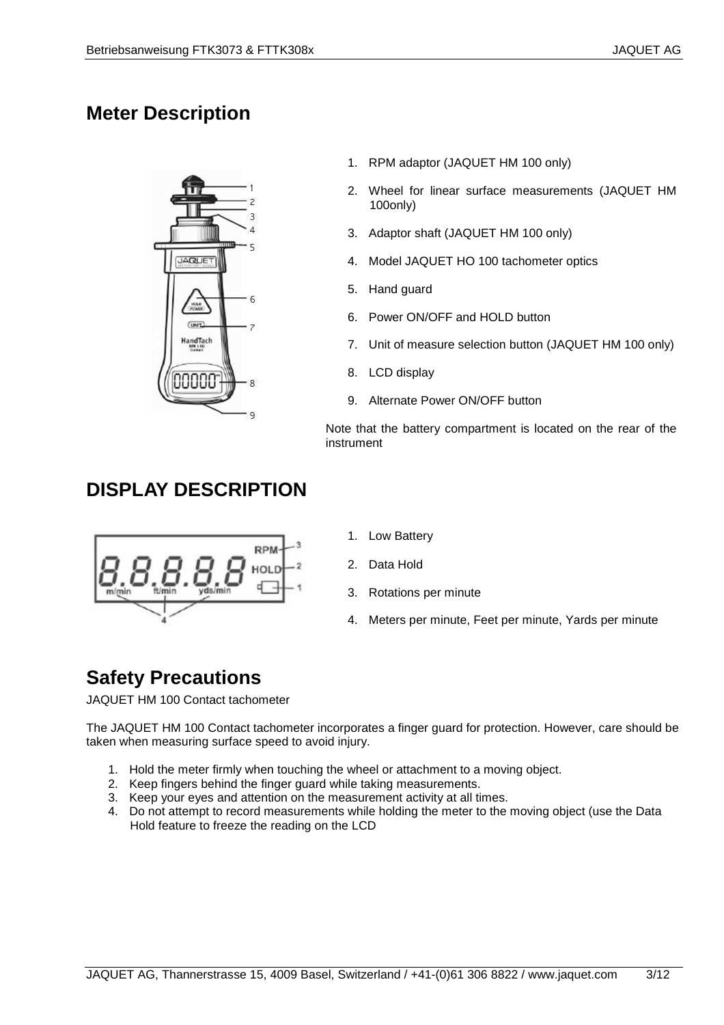### **Meter Description**



- 1. RPM adaptor (JAQUET HM 100 only)
- 2. Wheel for linear surface measurements (JAQUET HM 100only)
- 3. Adaptor shaft (JAQUET HM 100 only)
- 4. Model JAQUET HO 100 tachometer optics
- 5. Hand guard
- 6. Power ON/OFF and HOLD button
- 7. Unit of measure selection button (JAQUET HM 100 only)
- 8. LCD display
- 9. Alternate Power ON/OFF button

Note that the battery compartment is located on the rear of the instrument

#### **DISPLAY DESCRIPTION**



- 1. Low Battery
- 2. Data Hold
- 3. Rotations per minute
- 4. Meters per minute, Feet per minute, Yards per minute

### **Safety Precautions**

JAQUET HM 100 Contact tachometer

The JAQUET HM 100 Contact tachometer incorporates a finger guard for protection. However, care should be taken when measuring surface speed to avoid injury.

- 1. Hold the meter firmly when touching the wheel or attachment to a moving object.
- 2. Keep fingers behind the finger guard while taking measurements.
- 3. Keep your eyes and attention on the measurement activity at all times.
- 4. Do not attempt to record measurements while holding the meter to the moving object (use the Data Hold feature to freeze the reading on the LCD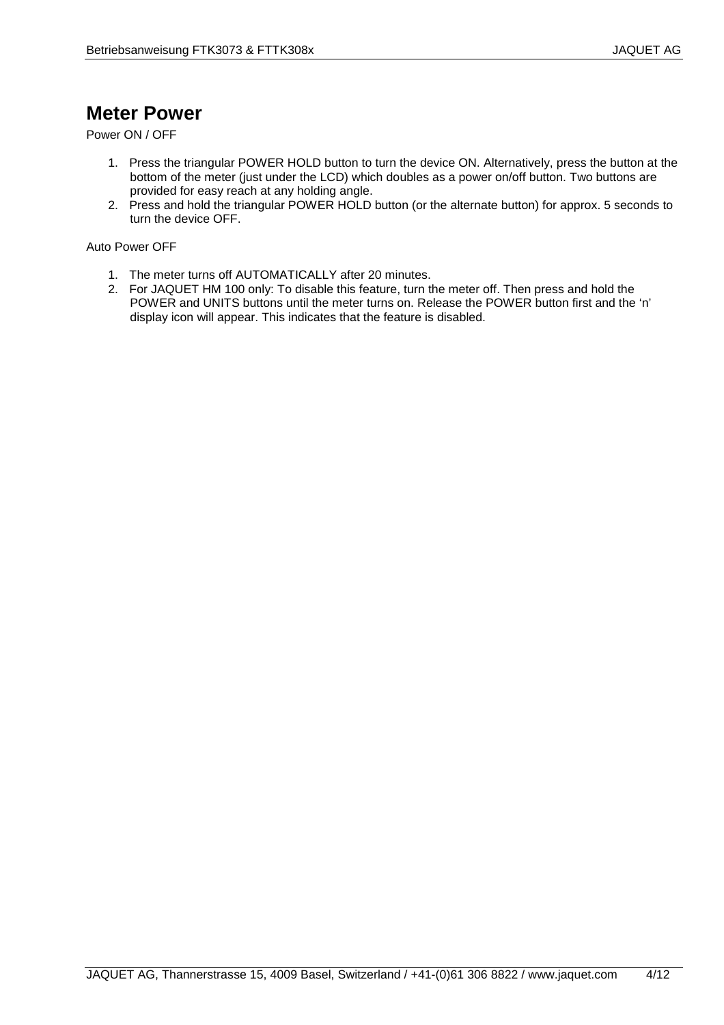### **Meter Power**

Power ON / OFF

- 1. Press the triangular POWER HOLD button to turn the device ON. Alternatively, press the button at the bottom of the meter (just under the LCD) which doubles as a power on/off button. Two buttons are provided for easy reach at any holding angle.
- 2. Press and hold the triangular POWER HOLD button (or the alternate button) for approx. 5 seconds to turn the device OFF.

Auto Power OFF

- 1. The meter turns off AUTOMATICALLY after 20 minutes.
- 2. For JAQUET HM 100 only: To disable this feature, turn the meter off. Then press and hold the POWER and UNITS buttons until the meter turns on. Release the POWER button first and the 'n' display icon will appear. This indicates that the feature is disabled.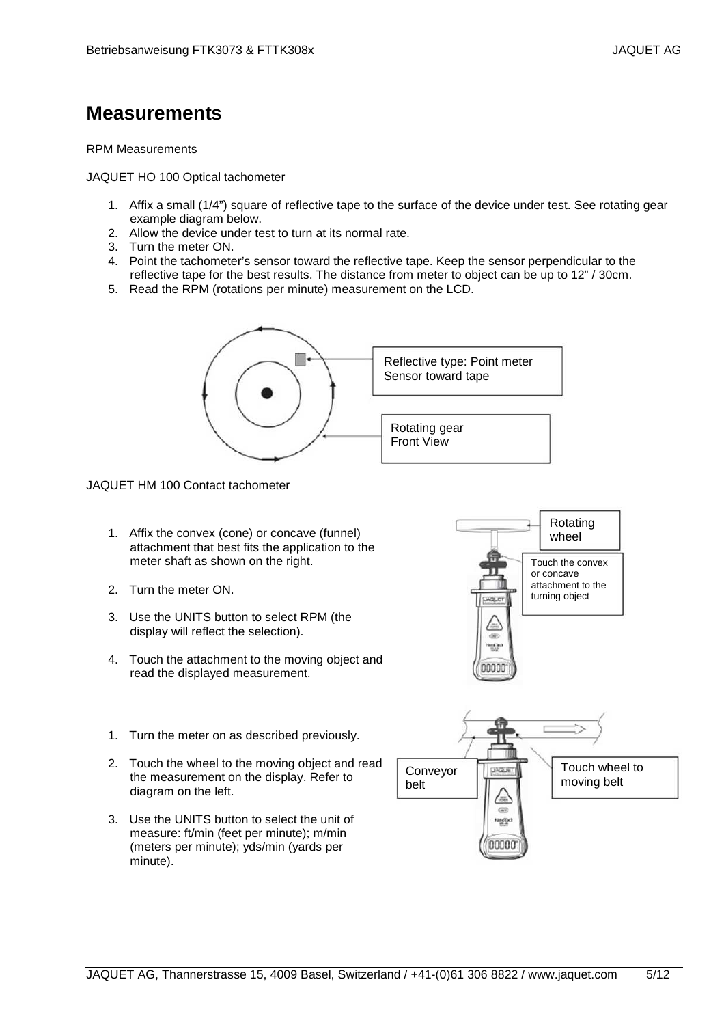### **Measurements**

#### RPM Measurements

JAQUET HO 100 Optical tachometer

- 1. Affix a small (1/4") square of reflective tape to the surface of the device under test. See rotating gear example diagram below.
- 2. Allow the device under test to turn at its normal rate.
- 3. Turn the meter ON.
- 4. Point the tachometer's sensor toward the reflective tape. Keep the sensor perpendicular to the reflective tape for the best results. The distance from meter to object can be up to 12" / 30cm.
- 5. Read the RPM (rotations per minute) measurement on the LCD.



JAQUET HM 100 Contact tachometer

- 1. Affix the convex (cone) or concave (funnel) attachment that best fits the application to the meter shaft as shown on the right.
- 2. Turn the meter ON.
- 3. Use the UNITS button to select RPM (the display will reflect the selection).
- 4. Touch the attachment to the moving object and read the displayed measurement.
- 1. Turn the meter on as described previously.
- 2. Touch the wheel to the moving object and read the measurement on the display. Refer to diagram on the left.
- 3. Use the UNITS button to select the unit of measure: ft/min (feet per minute); m/min (meters per minute); yds/min (yards per minute).



w

Rotating wheel

Touch the convex or concave attachment to the turning object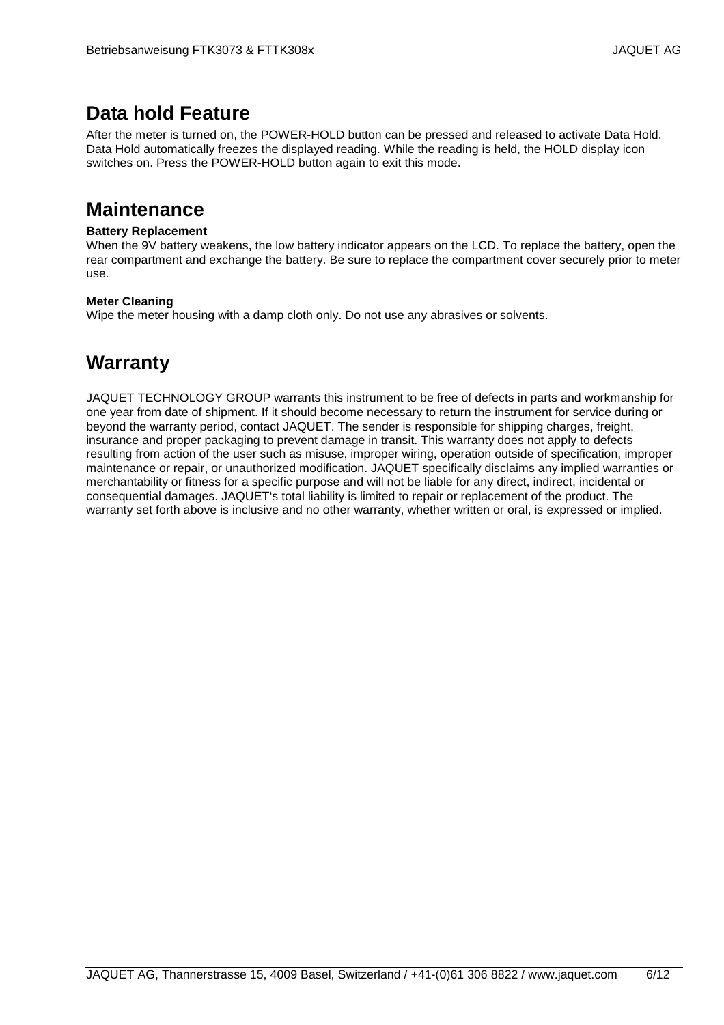### **Data hold Feature**

After the meter is turned on, the POWER-HOLD button can be pressed and released to activate Data Hold. Data Hold automatically freezes the displayed reading. While the reading is held, the HOLD display icon switches on. Press the POWER-HOLD button again to exit this mode.

#### **Maintenance**

#### **Battery Replacement**

When the 9V battery weakens, the low battery indicator appears on the LCD. To replace the battery, open the rear compartment and exchange the battery. Be sure to replace the compartment cover securely prior to meter use.

#### **Meter Cleaning**

Wipe the meter housing with a damp cloth only. Do not use any abrasives or solvents.

#### **Warranty**

JAQUET TECHNOLOGY GROUP warrants this instrument to be free of defects in parts and workmanship for one year from date of shipment. If it should become necessary to return the instrument for service during or beyond the warranty period, contact JAQUET. The sender is responsible for shipping charges, freight, insurance and proper packaging to prevent damage in transit. This warranty does not apply to defects resulting from action of the user such as misuse, improper wiring, operation outside of specification, improper maintenance or repair, or unauthorized modification. JAQUET specifically disclaims any implied warranties or merchantability or fitness for a specific purpose and will not be liable for any direct, indirect, incidental or consequential damages. JAQUET's total liability is limited to repair or replacement of the product. The warranty set forth above is inclusive and no other warranty, whether written or oral, is expressed or implied.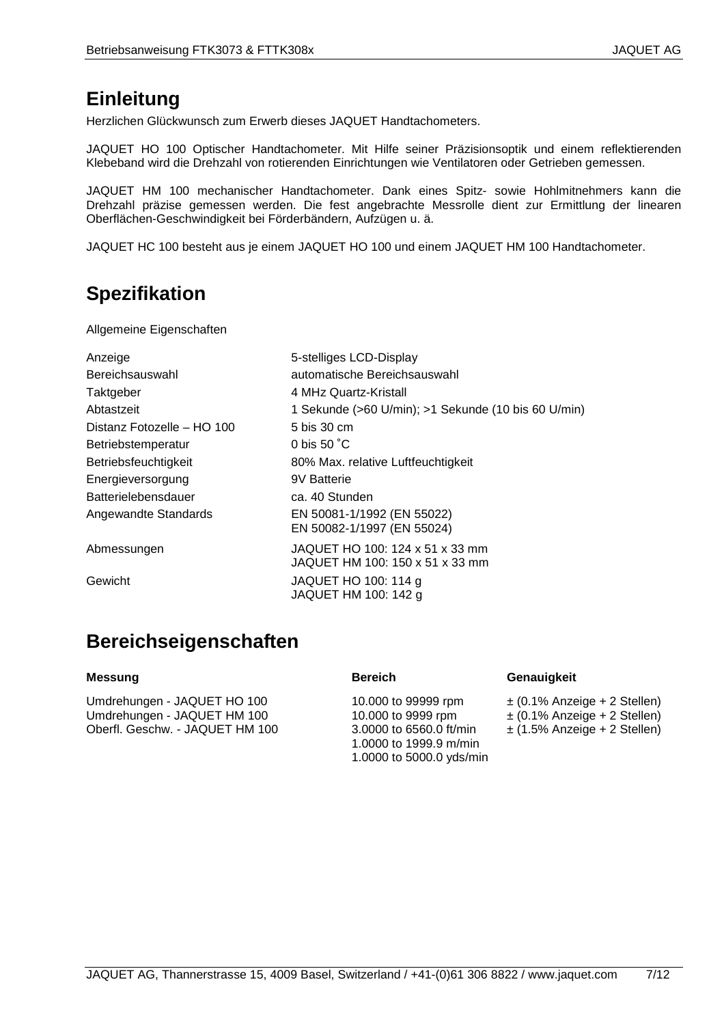#### **Einleitung**

Herzlichen Glückwunsch zum Erwerb dieses JAQUET Handtachometers.

JAQUET HO 100 Optischer Handtachometer. Mit Hilfe seiner Präzisionsoptik und einem reflektierenden Klebeband wird die Drehzahl von rotierenden Einrichtungen wie Ventilatoren oder Getrieben gemessen.

JAQUET HM 100 mechanischer Handtachometer. Dank eines Spitz- sowie Hohlmitnehmers kann die Drehzahl präzise gemessen werden. Die fest angebrachte Messrolle dient zur Ermittlung der linearen Oberflächen-Geschwindigkeit bei Förderbändern, Aufzügen u. ä.

JAQUET HC 100 besteht aus je einem JAQUET HO 100 und einem JAQUET HM 100 Handtachometer.

### **Spezifikation**

Allgemeine Eigenschaften

| Anzeige                    | 5-stelliges LCD-Display                                            |
|----------------------------|--------------------------------------------------------------------|
| Bereichsauswahl            | automatische Bereichsauswahl                                       |
| Taktgeber                  | 4 MHz Quartz-Kristall                                              |
| Abtastzeit                 | 1 Sekunde (>60 U/min); >1 Sekunde (10 bis 60 U/min)                |
| Distanz Fotozelle - HO 100 | 5 bis 30 cm                                                        |
| Betriebstemperatur         | 0 bis 50 °C                                                        |
| Betriebsfeuchtigkeit       | 80% Max. relative Luftfeuchtigkeit                                 |
| Energieversorgung          | 9V Batterie                                                        |
| <b>Batterielebensdauer</b> | ca. 40 Stunden                                                     |
| Angewandte Standards       | EN 50081-1/1992 (EN 55022)<br>EN 50082-1/1997 (EN 55024)           |
|                            |                                                                    |
| Abmessungen                | JAQUET HO 100: 124 x 51 x 33 mm<br>JAQUET HM 100: 150 x 51 x 33 mm |
| Gewicht                    | JAQUET HO 100: 114 g<br>JAQUET HM 100: 142 g                       |
|                            |                                                                    |

### **Bereichseigenschaften**

Umdrehungen - JAQUET HO 100 Umdrehungen - JAQUET HM 100 Oberfl. Geschw. - JAQUET HM 100

10.000 to 99999 rpm 10.000 to 9999 rpm 3.0000 to 6560.0 ft/min 1.0000 to 1999.9 m/min 1.0000 to 5000.0 yds/min

#### **Messung Bereich Genauigkeit**

- ± (0.1% Anzeige + 2 Stellen) ± (0.1% Anzeige + 2 Stellen)
- ± (1.5% Anzeige + 2 Stellen)

JAQUET AG, Thannerstrasse 15, 4009 Basel, Switzerland / +41-(0)61 306 8822 / www.jaquet.com 7/12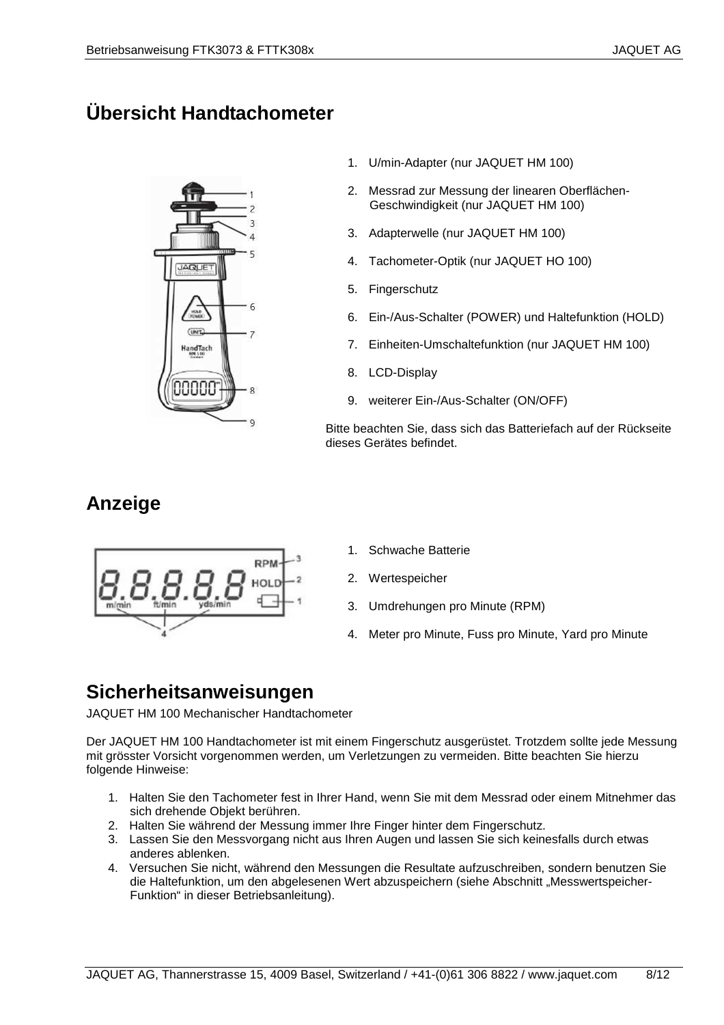## **Übersicht Handtachometer**



- 1. U/min-Adapter (nur JAQUET HM 100)
- 2. Messrad zur Messung der linearen Oberflächen-Geschwindigkeit (nur JAQUET HM 100)
- 3. Adapterwelle (nur JAQUET HM 100)
- 4. Tachometer-Optik (nur JAQUET HO 100)
- 5. Fingerschutz
- 6. Ein-/Aus-Schalter (POWER) und Haltefunktion (HOLD)
- 7. Einheiten-Umschaltefunktion (nur JAQUET HM 100)
- 8. LCD-Display
- 9. weiterer Ein-/Aus-Schalter (ON/OFF)

Bitte beachten Sie, dass sich das Batteriefach auf der Rückseite dieses Gerätes befindet.

#### **Anzeige**



- 1. Schwache Batterie
- 2. Wertespeicher
- 3. Umdrehungen pro Minute (RPM)
- 4. Meter pro Minute, Fuss pro Minute, Yard pro Minute

#### **Sicherheitsanweisungen**

JAQUET HM 100 Mechanischer Handtachometer

Der JAQUET HM 100 Handtachometer ist mit einem Fingerschutz ausgerüstet. Trotzdem sollte jede Messung mit grösster Vorsicht vorgenommen werden, um Verletzungen zu vermeiden. Bitte beachten Sie hierzu folgende Hinweise:

- 1. Halten Sie den Tachometer fest in Ihrer Hand, wenn Sie mit dem Messrad oder einem Mitnehmer das sich drehende Objekt berühren.
- 2. Halten Sie während der Messung immer Ihre Finger hinter dem Fingerschutz.
- 3. Lassen Sie den Messvorgang nicht aus Ihren Augen und lassen Sie sich keinesfalls durch etwas anderes ablenken.
- 4. Versuchen Sie nicht, während den Messungen die Resultate aufzuschreiben, sondern benutzen Sie die Haltefunktion, um den abgelesenen Wert abzuspeichern (siehe Abschnitt "Messwertspeicher-Funktion" in dieser Betriebsanleitung).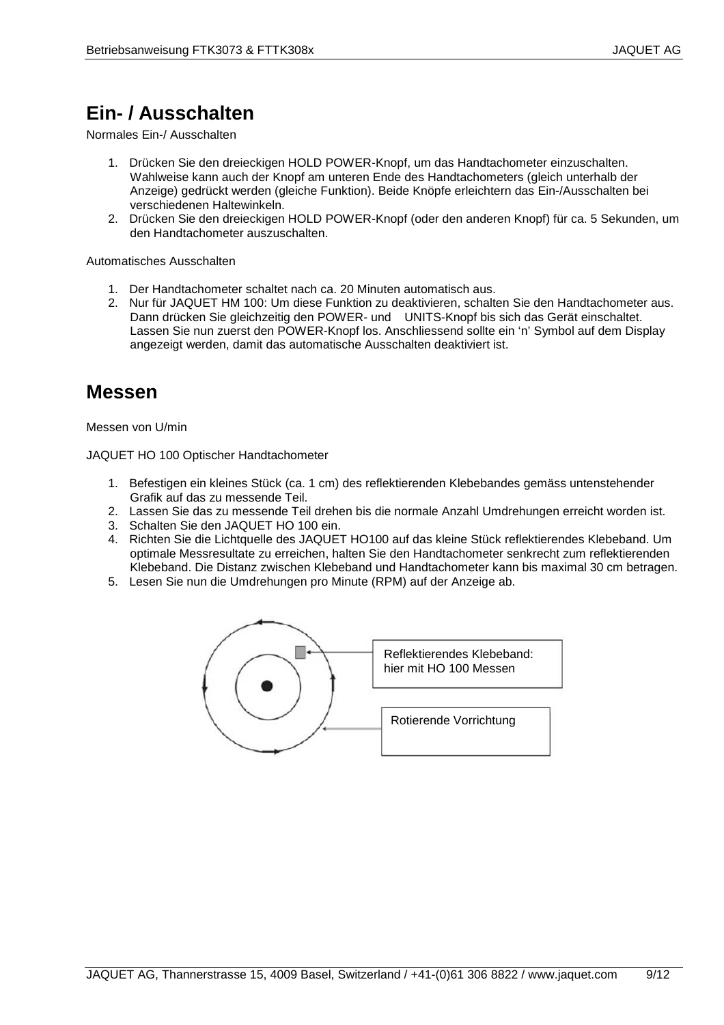### **Ein- / Ausschalten**

Normales Ein-/ Ausschalten

- 1. Drücken Sie den dreieckigen HOLD POWER-Knopf, um das Handtachometer einzuschalten. Wahlweise kann auch der Knopf am unteren Ende des Handtachometers (gleich unterhalb der Anzeige) gedrückt werden (gleiche Funktion). Beide Knöpfe erleichtern das Ein-/Ausschalten bei verschiedenen Haltewinkeln.
- 2. Drücken Sie den dreieckigen HOLD POWER-Knopf (oder den anderen Knopf) für ca. 5 Sekunden, um den Handtachometer auszuschalten.

Automatisches Ausschalten

- 1. Der Handtachometer schaltet nach ca. 20 Minuten automatisch aus.
- 2. Nur für JAQUET HM 100: Um diese Funktion zu deaktivieren, schalten Sie den Handtachometer aus. Dann drücken Sie gleichzeitig den POWER- und UNITS-Knopf bis sich das Gerät einschaltet. Lassen Sie nun zuerst den POWER-Knopf los. Anschliessend sollte ein 'n' Symbol auf dem Display angezeigt werden, damit das automatische Ausschalten deaktiviert ist.

#### **Messen**

Messen von U/min

JAQUET HO 100 Optischer Handtachometer

- 1. Befestigen ein kleines Stück (ca. 1 cm) des reflektierenden Klebebandes gemäss untenstehender Grafik auf das zu messende Teil.
- 2. Lassen Sie das zu messende Teil drehen bis die normale Anzahl Umdrehungen erreicht worden ist.
- 3. Schalten Sie den JAQUET HO 100 ein.
- 4. Richten Sie die Lichtquelle des JAQUET HO100 auf das kleine Stück reflektierendes Klebeband. Um optimale Messresultate zu erreichen, halten Sie den Handtachometer senkrecht zum reflektierenden Klebeband. Die Distanz zwischen Klebeband und Handtachometer kann bis maximal 30 cm betragen.
- 5. Lesen Sie nun die Umdrehungen pro Minute (RPM) auf der Anzeige ab.

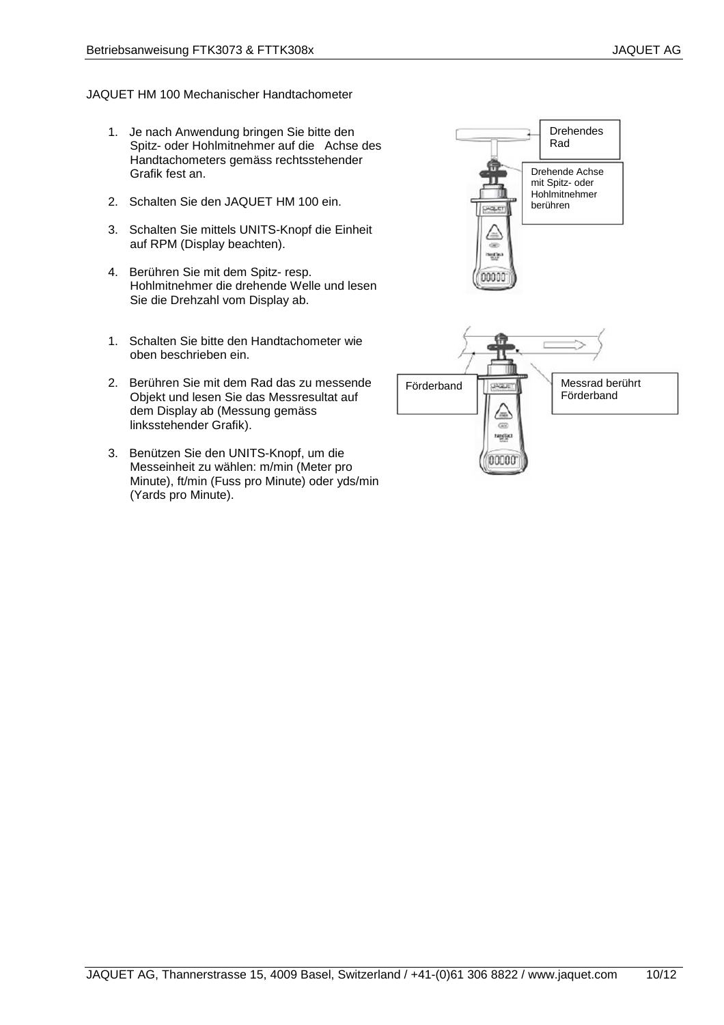#### JAQUET HM 100 Mechanischer Handtachometer

- 1. Je nach Anwendung bringen Sie bitte den Spitz- oder Hohlmitnehmer auf die Achse des Handtachometers gemäss rechtsstehender Grafik fest an.
- 2. Schalten Sie den JAQUET HM 100 ein.
- 3. Schalten Sie mittels UNITS-Knopf die Einheit auf RPM (Display beachten).
- 4. Berühren Sie mit dem Spitz- resp. Hohlmitnehmer die drehende Welle und lesen Sie die Drehzahl vom Display ab.
- 1. Schalten Sie bitte den Handtachometer wie oben beschrieben ein.
- 2. Berühren Sie mit dem Rad das zu messende Objekt und lesen Sie das Messresultat auf dem Display ab (Messung gemäss linksstehender Grafik).
- 3. Benützen Sie den UNITS-Knopf, um die Messeinheit zu wählen: m/min (Meter pro Minute), ft/min (Fuss pro Minute) oder yds/min (Yards pro Minute).

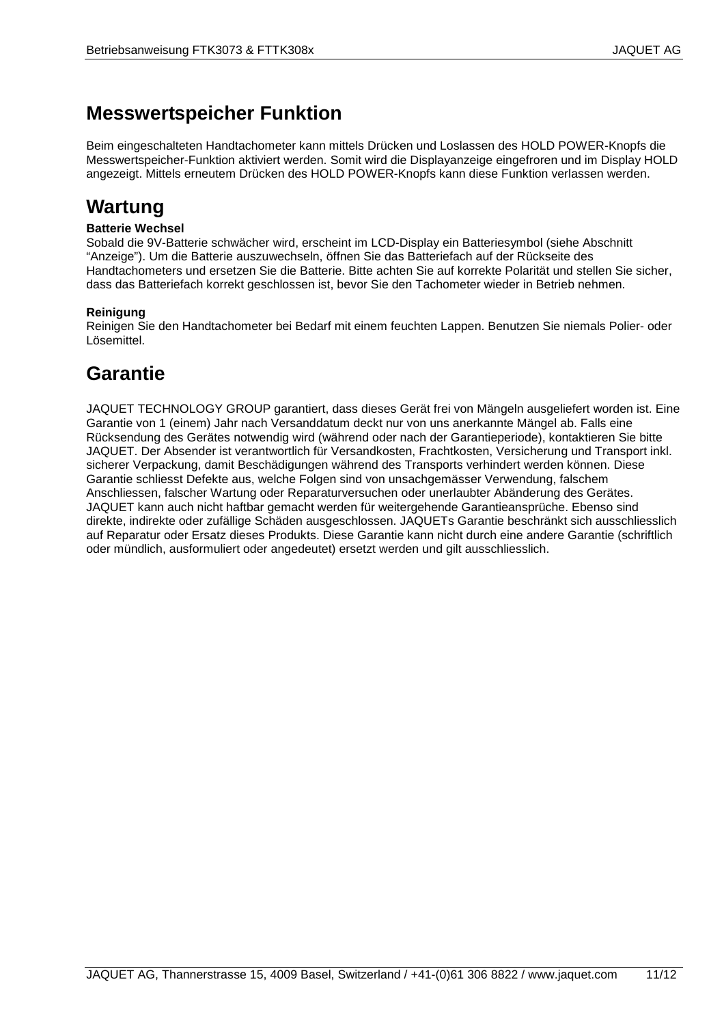#### **Messwertspeicher Funktion**

Beim eingeschalteten Handtachometer kann mittels Drücken und Loslassen des HOLD POWER-Knopfs die Messwertspeicher-Funktion aktiviert werden. Somit wird die Displayanzeige eingefroren und im Display HOLD angezeigt. Mittels erneutem Drücken des HOLD POWER-Knopfs kann diese Funktion verlassen werden.

#### **Wartung**

#### **Batterie Wechsel**

Sobald die 9V-Batterie schwächer wird, erscheint im LCD-Display ein Batteriesymbol (siehe Abschnitt "Anzeige"). Um die Batterie auszuwechseln, öffnen Sie das Batteriefach auf der Rückseite des Handtachometers und ersetzen Sie die Batterie. Bitte achten Sie auf korrekte Polarität und stellen Sie sicher, dass das Batteriefach korrekt geschlossen ist, bevor Sie den Tachometer wieder in Betrieb nehmen.

#### **Reinigung**

Reinigen Sie den Handtachometer bei Bedarf mit einem feuchten Lappen. Benutzen Sie niemals Polier- oder Lösemittel.

#### **Garantie**

JAQUET TECHNOLOGY GROUP garantiert, dass dieses Gerät frei von Mängeln ausgeliefert worden ist. Eine Garantie von 1 (einem) Jahr nach Versanddatum deckt nur von uns anerkannte Mängel ab. Falls eine Rücksendung des Gerätes notwendig wird (während oder nach der Garantieperiode), kontaktieren Sie bitte JAQUET. Der Absender ist verantwortlich für Versandkosten, Frachtkosten, Versicherung und Transport inkl. sicherer Verpackung, damit Beschädigungen während des Transports verhindert werden können. Diese Garantie schliesst Defekte aus, welche Folgen sind von unsachgemässer Verwendung, falschem Anschliessen, falscher Wartung oder Reparaturversuchen oder unerlaubter Abänderung des Gerätes. JAQUET kann auch nicht haftbar gemacht werden für weitergehende Garantieansprüche. Ebenso sind direkte, indirekte oder zufällige Schäden ausgeschlossen. JAQUETs Garantie beschränkt sich ausschliesslich auf Reparatur oder Ersatz dieses Produkts. Diese Garantie kann nicht durch eine andere Garantie (schriftlich oder mündlich, ausformuliert oder angedeutet) ersetzt werden und gilt ausschliesslich.